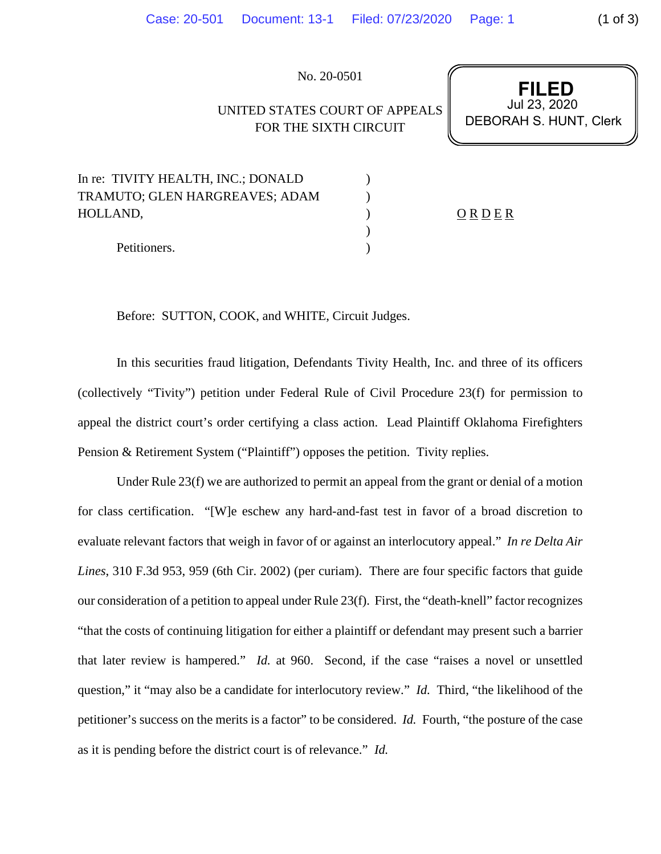No. 20-0501

## UNITED STATES COURT OF APPEALS FOR THE SIXTH CIRCUIT

**FILED** Jul 23, 2020 DEBORAH S. HUNT, Clerk

| In re: TIVITY HEALTH, INC.; DONALD |             |  |
|------------------------------------|-------------|--|
| TRAMUTO; GLEN HARGREAVES; ADAM     |             |  |
| HOLLAND.                           | $Q$ R D E R |  |
|                                    |             |  |
| Petitioners.                       |             |  |

Before: SUTTON, COOK, and WHITE, Circuit Judges.

In this securities fraud litigation, Defendants Tivity Health, Inc. and three of its officers (collectively "Tivity") petition under Federal Rule of Civil Procedure 23(f) for permission to appeal the district court's order certifying a class action. Lead Plaintiff Oklahoma Firefighters Pension & Retirement System ("Plaintiff") opposes the petition. Tivity replies.

Under Rule 23(f) we are authorized to permit an appeal from the grant or denial of a motion for class certification. "[W]e eschew any hard-and-fast test in favor of a broad discretion to evaluate relevant factors that weigh in favor of or against an interlocutory appeal." *In re Delta Air Lines*, 310 F.3d 953, 959 (6th Cir. 2002) (per curiam). There are four specific factors that guide our consideration of a petition to appeal under Rule 23(f). First, the "death-knell" factor recognizes "that the costs of continuing litigation for either a plaintiff or defendant may present such a barrier that later review is hampered." *Id.* at 960. Second, if the case "raises a novel or unsettled question," it "may also be a candidate for interlocutory review." *Id.* Third, "the likelihood of the petitioner's success on the merits is a factor" to be considered. *Id.* Fourth, "the posture of the case as it is pending before the district court is of relevance." *Id.*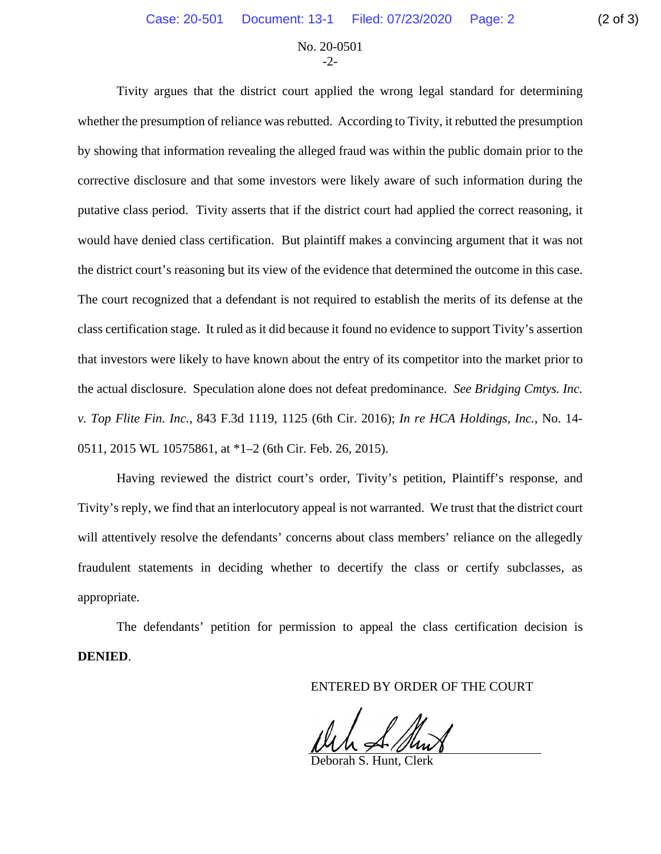## No. 20-0501  $-2$

Tivity argues that the district court applied the wrong legal standard for determining whether the presumption of reliance was rebutted. According to Tivity, it rebutted the presumption by showing that information revealing the alleged fraud was within the public domain prior to the corrective disclosure and that some investors were likely aware of such information during the putative class period. Tivity asserts that if the district court had applied the correct reasoning, it would have denied class certification. But plaintiff makes a convincing argument that it was not the district court's reasoning but its view of the evidence that determined the outcome in this case. The court recognized that a defendant is not required to establish the merits of its defense at the class certification stage. It ruled as it did because it found no evidence to support Tivity's assertion that investors were likely to have known about the entry of its competitor into the market prior to the actual disclosure. Speculation alone does not defeat predominance. *See Bridging Cmtys. Inc. v. Top Flite Fin. Inc.*, 843 F.3d 1119, 1125 (6th Cir. 2016); *In re HCA Holdings, Inc.*, No. 14- 0511, 2015 WL 10575861, at \*1–2 (6th Cir. Feb. 26, 2015).

Having reviewed the district court's order, Tivity's petition, Plaintiff's response, and Tivity's reply, we find that an interlocutory appeal is not warranted. We trust that the district court will attentively resolve the defendants' concerns about class members' reliance on the allegedly fraudulent statements in deciding whether to decertify the class or certify subclasses, as appropriate.

The defendants' petition for permission to appeal the class certification decision is **DENIED**.

ENTERED BY ORDER OF THE COURT

Deborah S. Hunt, Clerk